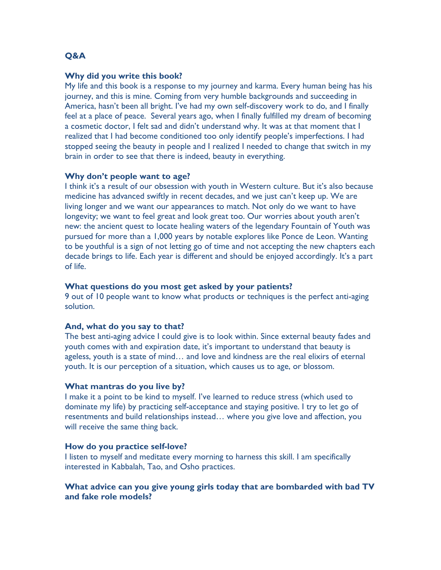# **Q&A**

# **Why did you write this book?**

My life and this book is a response to my journey and karma. Every human being has his journey, and this is mine. Coming from very humble backgrounds and succeeding in America, hasn't been all bright. I've had my own self-discovery work to do, and I finally feel at a place of peace. Several years ago, when I finally fulfilled my dream of becoming a cosmetic doctor, I felt sad and didn't understand why. It was at that moment that I realized that I had become conditioned too only identify people's imperfections. I had stopped seeing the beauty in people and I realized I needed to change that switch in my brain in order to see that there is indeed, beauty in everything.

## **Why don't people want to age?**

I think it's a result of our obsession with youth in Western culture. But it's also because medicine has advanced swiftly in recent decades, and we just can't keep up. We are living longer and we want our appearances to match. Not only do we want to have longevity; we want to feel great and look great too. Our worries about youth aren't new: the ancient quest to locate healing waters of the legendary Fountain of Youth was pursued for more than a 1,000 years by notable explores like Ponce de Leon. Wanting to be youthful is a sign of not letting go of time and not accepting the new chapters each decade brings to life. Each year is different and should be enjoyed accordingly. It's a part of life.

## **What questions do you most get asked by your patients?**

9 out of 10 people want to know what products or techniques is the perfect anti-aging solution.

#### **And, what do you say to that?**

The best anti-aging advice I could give is to look within. Since external beauty fades and youth comes with and expiration date, it's important to understand that beauty is ageless, youth is a state of mind… and love and kindness are the real elixirs of eternal youth. It is our perception of a situation, which causes us to age, or blossom.

#### **What mantras do you live by?**

I make it a point to be kind to myself. I've learned to reduce stress (which used to dominate my life) by practicing self-acceptance and staying positive. I try to let go of resentments and build relationships instead… where you give love and affection, you will receive the same thing back.

## **How do you practice self-love?**

I listen to myself and meditate every morning to harness this skill. I am specifically interested in Kabbalah, Tao, and Osho practices.

# **What advice can you give young girls today that are bombarded with bad TV and fake role models?**